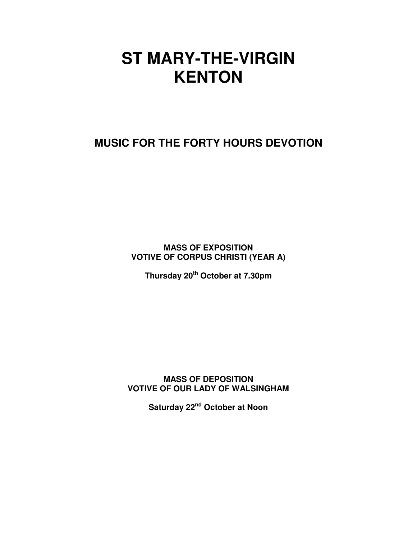# **ST MARY-THE-VIRGIN KENTON**

**MUSIC FOR THE FORTY HOURS DEVOTION** 

**MASS OF EXPOSITION VOTIVE OF CORPUS CHRISTI (YEAR A)** 

**Thursday 20th October at 7.30pm**

**MASS OF DEPOSITION VOTIVE OF OUR LADY OF WALSINGHAM** 

**Saturday 22nd October at Noon**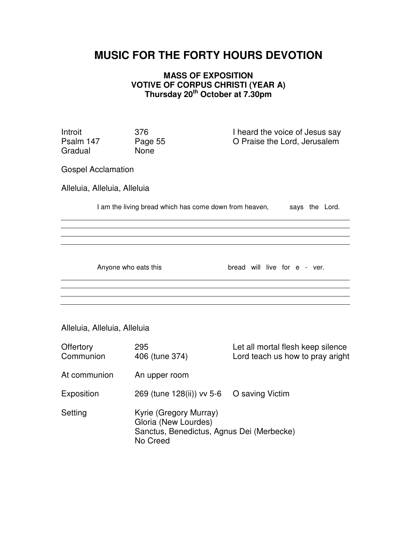## **MUSIC FOR THE FORTY HOURS DEVOTION**

#### **MASS OF EXPOSITION VOTIVE OF CORPUS CHRISTI (YEAR A) Thursday 20th October at 7.30pm**

Gradual

Introit 376 I heard the voice of Jesus say<br>
Psalm 147 Page 55 C Praise the Lord Jerusalem Page 55 O Praise the Lord, Jerusalem<br>None

Gospel Acclamation

 

Alleluia, Alleluia, Alleluia

I am the living bread which has come down from heaven, says the Lord.

Anyone who eats this bread will live for e - ver.

Alleluia, Alleluia, Alleluia

| Offertory<br>Communion | 295<br>406 (tune 374)                                                                                   | Let all mortal flesh keep silence<br>Lord teach us how to pray aright |
|------------------------|---------------------------------------------------------------------------------------------------------|-----------------------------------------------------------------------|
| At communion           | An upper room                                                                                           |                                                                       |
| Exposition             | 269 (tune 128(ii)) vv 5-6 O saving Victim                                                               |                                                                       |
| Setting                | Kyrie (Gregory Murray)<br>Gloria (New Lourdes)<br>Sanctus, Benedictus, Agnus Dei (Merbecke)<br>No Creed |                                                                       |